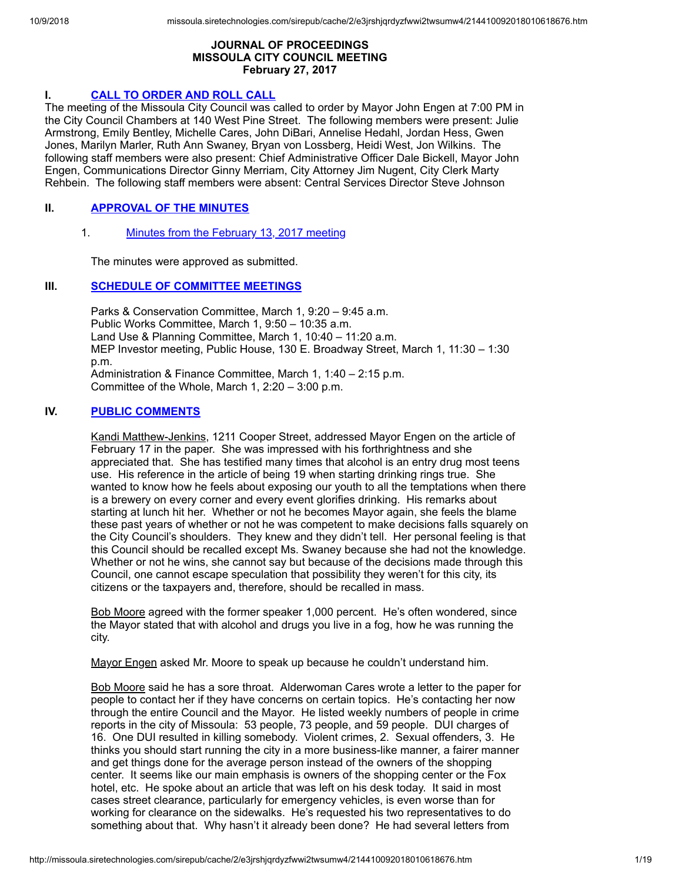# **JOURNAL OF PROCEEDINGS MISSOULA CITY COUNCIL MEETING February 27, 2017**

# **I. CALL TO [ORDER](http://missoula.siretechnologies.com/sirepub/agdocs.aspx?doctype=minutes&itemid=39025) AND ROLL CALL**

The meeting of the Missoula City Council was called to order by Mayor John Engen at 7:00 PM in the City Council Chambers at 140 West Pine Street. The following members were present: Julie Armstrong, Emily Bentley, Michelle Cares, John DiBari, Annelise Hedahl, Jordan Hess, Gwen Jones, Marilyn Marler, Ruth Ann Swaney, Bryan von Lossberg, Heidi West, Jon Wilkins. The following staff members were also present: Chief Administrative Officer Dale Bickell, Mayor John Engen, Communications Director Ginny Merriam, City Attorney Jim Nugent, City Clerk Marty Rehbein. The following staff members were absent: Central Services Director Steve Johnson

# **II. [APPROVAL](http://missoula.siretechnologies.com/sirepub/agdocs.aspx?doctype=minutes&itemid=39026) OF THE MINUTES**

1. Minutes from the [February](http://missoula.siretechnologies.com/sirepub/agdocs.aspx?doctype=minutes&itemid=39057) 13, 2017 meeting

The minutes were approved as submitted.

# **III. SCHEDULE OF [COMMITTEE](http://missoula.siretechnologies.com/sirepub/agdocs.aspx?doctype=minutes&itemid=39027) MEETINGS**

Parks & Conservation Committee, March 1, 9:20 – 9:45 a.m. Public Works Committee, March 1, 9:50 – 10:35 a.m. Land Use & Planning Committee, March 1, 10:40 – 11:20 a.m. MEP Investor meeting, Public House, 130 E. Broadway Street, March 1, 11:30 – 1:30 p.m. Administration & Finance Committee, March 1, 1:40 – 2:15 p.m. Committee of the Whole, March 1, 2:20 – 3:00 p.m.

# **IV. PUBLIC [COMMENTS](http://missoula.siretechnologies.com/sirepub/agdocs.aspx?doctype=minutes&itemid=39028)**

Kandi Matthew-Jenkins, 1211 Cooper Street, addressed Mayor Engen on the article of February 17 in the paper. She was impressed with his forthrightness and she appreciated that. She has testified many times that alcohol is an entry drug most teens use. His reference in the article of being 19 when starting drinking rings true. She wanted to know how he feels about exposing our youth to all the temptations when there is a brewery on every corner and every event glorifies drinking. His remarks about starting at lunch hit her. Whether or not he becomes Mayor again, she feels the blame these past years of whether or not he was competent to make decisions falls squarely on the City Council's shoulders. They knew and they didn't tell. Her personal feeling is that this Council should be recalled except Ms. Swaney because she had not the knowledge. Whether or not he wins, she cannot say but because of the decisions made through this Council, one cannot escape speculation that possibility they weren't for this city, its citizens or the taxpayers and, therefore, should be recalled in mass.

Bob Moore agreed with the former speaker 1,000 percent. He's often wondered, since the Mayor stated that with alcohol and drugs you live in a fog, how he was running the city.

Mayor Engen asked Mr. Moore to speak up because he couldn't understand him.

Bob Moore said he has a sore throat. Alderwoman Cares wrote a letter to the paper for people to contact her if they have concerns on certain topics. He's contacting her now through the entire Council and the Mayor. He listed weekly numbers of people in crime reports in the city of Missoula: 53 people, 73 people, and 59 people. DUI charges of 16. One DUI resulted in killing somebody. Violent crimes, 2. Sexual offenders, 3. He thinks you should start running the city in a more business-like manner, a fairer manner and get things done for the average person instead of the owners of the shopping center. It seems like our main emphasis is owners of the shopping center or the Fox hotel, etc. He spoke about an article that was left on his desk today. It said in most cases street clearance, particularly for emergency vehicles, is even worse than for working for clearance on the sidewalks. He's requested his two representatives to do something about that. Why hasn't it already been done? He had several letters from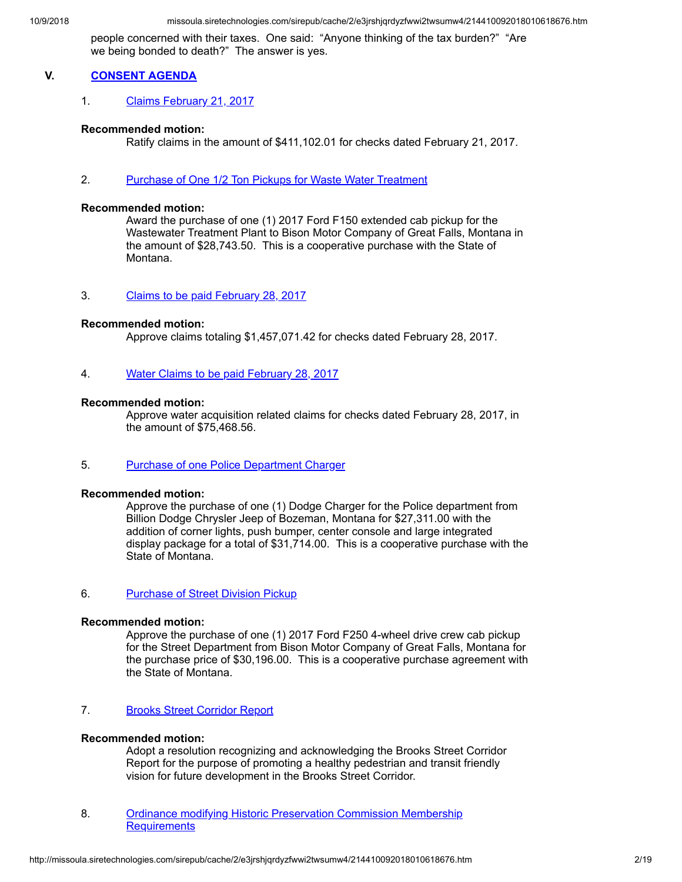people concerned with their taxes. One said: "Anyone thinking of the tax burden?" "Are we being bonded to death?" The answer is yes.

## **V. [CONSENT](http://missoula.siretechnologies.com/sirepub/agdocs.aspx?doctype=minutes&itemid=39029) AGENDA**

1. Claims [February](http://missoula.siretechnologies.com/sirepub/agdocs.aspx?doctype=minutes&itemid=39056) 21, 2017

#### **Recommended motion:**

Ratify claims in the amount of \$411,102.01 for checks dated February 21, 2017.

2. Purchase of One 1/2 Ton Pickups for Waste Water [Treatment](http://missoula.siretechnologies.com/sirepub/agdocs.aspx?doctype=minutes&itemid=39195)

#### **Recommended motion:**

Award the purchase of one (1) 2017 Ford F150 extended cab pickup for the Wastewater Treatment Plant to Bison Motor Company of Great Falls, Montana in the amount of \$28,743.50. This is a cooperative purchase with the State of Montana.

3. Claims to be paid [February](http://missoula.siretechnologies.com/sirepub/agdocs.aspx?doctype=minutes&itemid=39238) 28, 2017

#### **Recommended motion:**

Approve claims totaling \$1,457,071.42 for checks dated February 28, 2017.

4. Water Claims to be paid [February](http://missoula.siretechnologies.com/sirepub/agdocs.aspx?doctype=minutes&itemid=39239) 28, 2017

#### **Recommended motion:**

Approve water acquisition related claims for checks dated February 28, 2017, in the amount of \$75,468.56.

5. Purchase of one Police [Department](http://missoula.siretechnologies.com/sirepub/agdocs.aspx?doctype=minutes&itemid=39193) Charger

#### **Recommended motion:**

Approve the purchase of one (1) Dodge Charger for the Police department from Billion Dodge Chrysler Jeep of Bozeman, Montana for \$27,311.00 with the addition of corner lights, push bumper, center console and large integrated display package for a total of \$31,714.00. This is a cooperative purchase with the State of Montana.

# 6. [Purchase](http://missoula.siretechnologies.com/sirepub/agdocs.aspx?doctype=minutes&itemid=39194) of Street Division Pickup

#### **Recommended motion:**

Approve the purchase of one (1) 2017 Ford F250 4-wheel drive crew cab pickup for the Street Department from Bison Motor Company of Great Falls, Montana for the purchase price of \$30,196.00. This is a cooperative purchase agreement with the State of Montana.

# 7. Brooks Street [Corridor](http://missoula.siretechnologies.com/sirepub/agdocs.aspx?doctype=minutes&itemid=39197) Report

#### **Recommended motion:**

Adopt a resolution recognizing and acknowledging the Brooks Street Corridor Report for the purpose of promoting a healthy pedestrian and transit friendly vision for future development in the Brooks Street Corridor.

8. Ordinance modifying Historic Preservation Commission Membership **[Requirements](http://missoula.siretechnologies.com/sirepub/agdocs.aspx?doctype=minutes&itemid=39198)**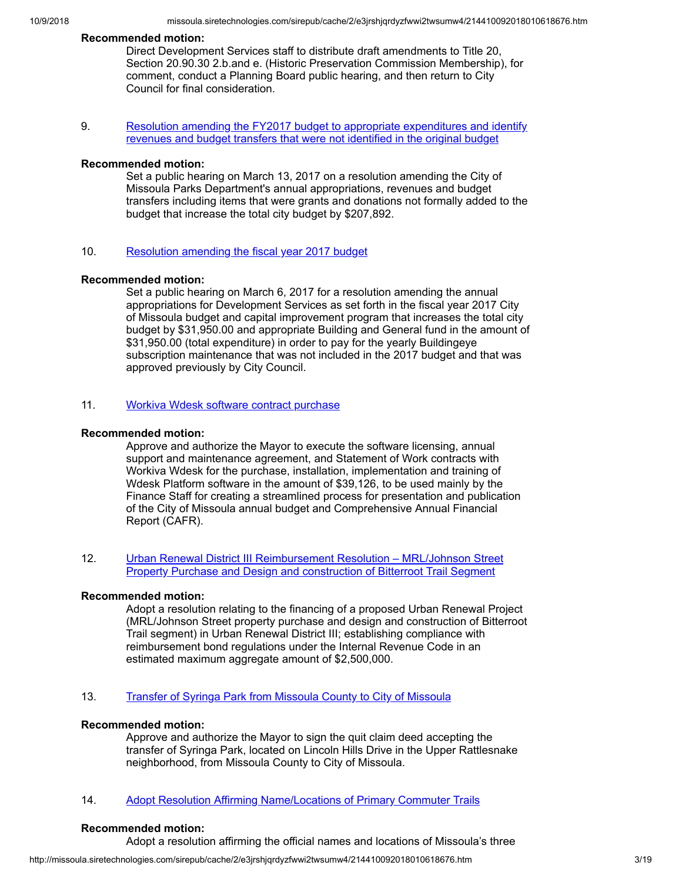## **Recommended motion:**

Direct Development Services staff to distribute draft amendments to Title 20, Section 20.90.30 2.b.and e. (Historic Preservation Commission Membership), for comment, conduct a Planning Board public hearing, and then return to City Council for final consideration.

9. Resolution amending the FY2017 budget to appropriate [expenditures](http://missoula.siretechnologies.com/sirepub/agdocs.aspx?doctype=minutes&itemid=39201) and identify revenues and budget transfers that were not identified in the original budget

## **Recommended motion:**

Set a public hearing on March 13, 2017 on a resolution amending the City of Missoula Parks Department's annual appropriations, revenues and budget transfers including items that were grants and donations not formally added to the budget that increase the total city budget by \$207,892.

10. [Resolution](http://missoula.siretechnologies.com/sirepub/agdocs.aspx?doctype=minutes&itemid=39202) amending the fiscal year 2017 budget

## **Recommended motion:**

Set a public hearing on March 6, 2017 for a resolution amending the annual appropriations for Development Services as set forth in the fiscal year 2017 City of Missoula budget and capital improvement program that increases the total city budget by \$31,950.00 and appropriate Building and General fund in the amount of \$31,950.00 (total expenditure) in order to pay for the yearly Buildingeye subscription maintenance that was not included in the 2017 budget and that was approved previously by City Council.

# 11. Workiva Wdesk software contract [purchase](http://missoula.siretechnologies.com/sirepub/agdocs.aspx?doctype=minutes&itemid=39203)

## **Recommended motion:**

Approve and authorize the Mayor to execute the software licensing, annual support and maintenance agreement, and Statement of Work contracts with Workiva Wdesk for the purchase, installation, implementation and training of Wdesk Platform software in the amount of \$39,126, to be used mainly by the Finance Staff for creating a streamlined process for presentation and publication of the City of Missoula annual budget and Comprehensive Annual Financial Report (CAFR).

12. Urban Renewal District III [Reimbursement](http://missoula.siretechnologies.com/sirepub/agdocs.aspx?doctype=minutes&itemid=39204) Resolution – MRL/Johnson Street Property Purchase and Design and construction of Bitterroot Trail Segment

## **Recommended motion:**

Adopt a resolution relating to the financing of a proposed Urban Renewal Project (MRL/Johnson Street property purchase and design and construction of Bitterroot Trail segment) in Urban Renewal District III; establishing compliance with reimbursement bond regulations under the Internal Revenue Code in an estimated maximum aggregate amount of \$2,500,000.

13. Transfer of Syringa Park from [Missoula](http://missoula.siretechnologies.com/sirepub/agdocs.aspx?doctype=minutes&itemid=39205) County to City of Missoula

## **Recommended motion:**

Approve and authorize the Mayor to sign the quit claim deed accepting the transfer of Syringa Park, located on Lincoln Hills Drive in the Upper Rattlesnake neighborhood, from Missoula County to City of Missoula.

14. Adopt Resolution Affirming [Name/Locations](http://missoula.siretechnologies.com/sirepub/agdocs.aspx?doctype=minutes&itemid=39206) of Primary Commuter Trails

#### **Recommended motion:**

Adopt a resolution affirming the official names and locations of Missoula's three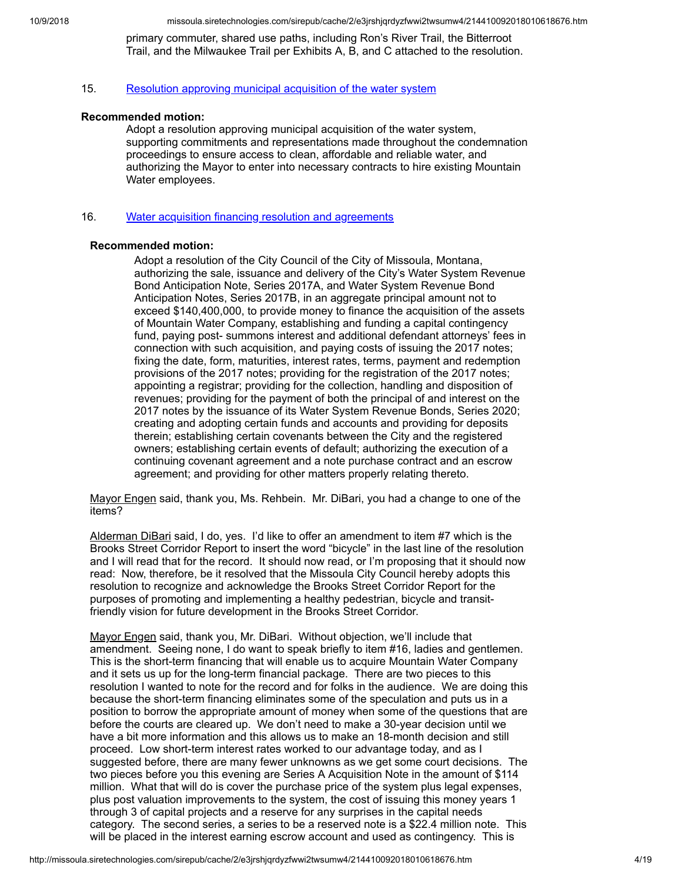primary commuter, shared use paths, including Ron's River Trail, the Bitterroot Trail, and the Milwaukee Trail per Exhibits A, B, and C attached to the resolution.

## 15. Resolution approving municipal [acquisition](http://missoula.siretechnologies.com/sirepub/agdocs.aspx?doctype=minutes&itemid=39189) of the water system

#### **Recommended motion:**

Adopt a resolution approving municipal acquisition of the water system, supporting commitments and representations made throughout the condemnation proceedings to ensure access to clean, affordable and reliable water, and authorizing the Mayor to enter into necessary contracts to hire existing Mountain Water employees.

#### 16. Water acquisition financing resolution and [agreements](http://missoula.siretechnologies.com/sirepub/agdocs.aspx?doctype=minutes&itemid=39190)

#### **Recommended motion:**

Adopt a resolution of the City Council of the City of Missoula, Montana, authorizing the sale, issuance and delivery of the City's Water System Revenue Bond Anticipation Note, Series 2017A, and Water System Revenue Bond Anticipation Notes, Series 2017B, in an aggregate principal amount not to exceed \$140,400,000, to provide money to finance the acquisition of the assets of Mountain Water Company, establishing and funding a capital contingency fund, paying post- summons interest and additional defendant attorneys' fees in connection with such acquisition, and paying costs of issuing the 2017 notes; fixing the date, form, maturities, interest rates, terms, payment and redemption provisions of the 2017 notes; providing for the registration of the 2017 notes; appointing a registrar; providing for the collection, handling and disposition of revenues; providing for the payment of both the principal of and interest on the 2017 notes by the issuance of its Water System Revenue Bonds, Series 2020; creating and adopting certain funds and accounts and providing for deposits therein; establishing certain covenants between the City and the registered owners; establishing certain events of default; authorizing the execution of a continuing covenant agreement and a note purchase contract and an escrow agreement; and providing for other matters properly relating thereto.

Mayor Engen said, thank you, Ms. Rehbein. Mr. DiBari, you had a change to one of the items?

Alderman DiBari said, I do, yes. I'd like to offer an amendment to item #7 which is the Brooks Street Corridor Report to insert the word "bicycle" in the last line of the resolution and I will read that for the record. It should now read, or I'm proposing that it should now read: Now, therefore, be it resolved that the Missoula City Council hereby adopts this resolution to recognize and acknowledge the Brooks Street Corridor Report for the purposes of promoting and implementing a healthy pedestrian, bicycle and transitfriendly vision for future development in the Brooks Street Corridor.

Mayor Engen said, thank you, Mr. DiBari. Without objection, we'll include that amendment. Seeing none, I do want to speak briefly to item #16, ladies and gentlemen. This is the short-term financing that will enable us to acquire Mountain Water Company and it sets us up for the long-term financial package. There are two pieces to this resolution I wanted to note for the record and for folks in the audience. We are doing this because the short-term financing eliminates some of the speculation and puts us in a position to borrow the appropriate amount of money when some of the questions that are before the courts are cleared up. We don't need to make a 30-year decision until we have a bit more information and this allows us to make an 18-month decision and still proceed. Low short-term interest rates worked to our advantage today, and as I suggested before, there are many fewer unknowns as we get some court decisions. The two pieces before you this evening are Series A Acquisition Note in the amount of \$114 million. What that will do is cover the purchase price of the system plus legal expenses, plus post valuation improvements to the system, the cost of issuing this money years 1 through 3 of capital projects and a reserve for any surprises in the capital needs category. The second series, a series to be a reserved note is a \$22.4 million note. This will be placed in the interest earning escrow account and used as contingency. This is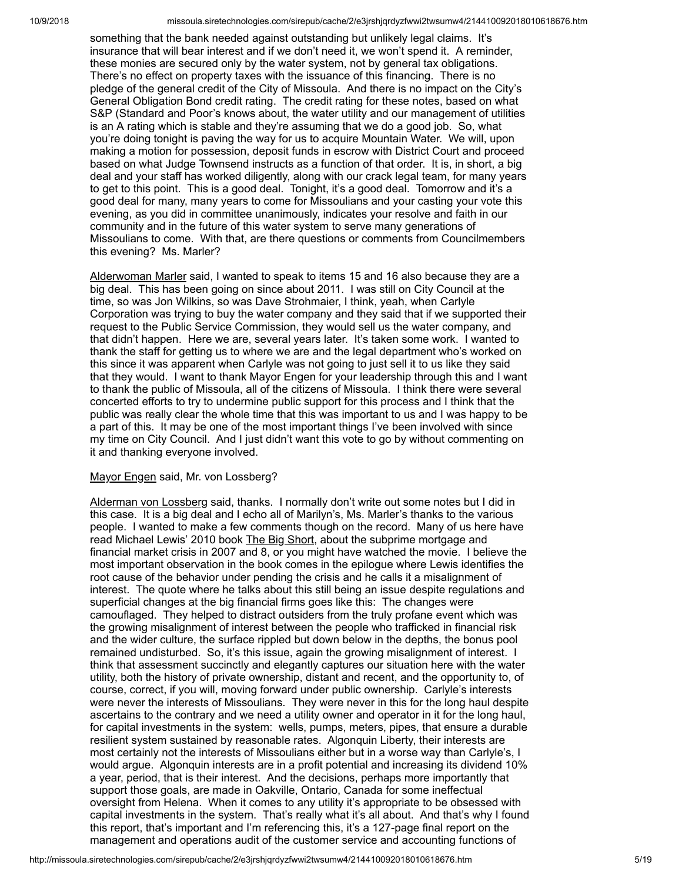something that the bank needed against outstanding but unlikely legal claims. It's insurance that will bear interest and if we don't need it, we won't spend it. A reminder, these monies are secured only by the water system, not by general tax obligations. There's no effect on property taxes with the issuance of this financing. There is no pledge of the general credit of the City of Missoula. And there is no impact on the City's General Obligation Bond credit rating. The credit rating for these notes, based on what S&P (Standard and Poor's knows about, the water utility and our management of utilities is an A rating which is stable and they're assuming that we do a good job. So, what you're doing tonight is paving the way for us to acquire Mountain Water. We will, upon making a motion for possession, deposit funds in escrow with District Court and proceed based on what Judge Townsend instructs as a function of that order. It is, in short, a big deal and your staff has worked diligently, along with our crack legal team, for many years to get to this point. This is a good deal. Tonight, it's a good deal. Tomorrow and it's a good deal for many, many years to come for Missoulians and your casting your vote this evening, as you did in committee unanimously, indicates your resolve and faith in our community and in the future of this water system to serve many generations of Missoulians to come. With that, are there questions or comments from Councilmembers this evening? Ms. Marler?

Alderwoman Marler said, I wanted to speak to items 15 and 16 also because they are a big deal. This has been going on since about 2011. I was still on City Council at the time, so was Jon Wilkins, so was Dave Strohmaier, I think, yeah, when Carlyle Corporation was trying to buy the water company and they said that if we supported their request to the Public Service Commission, they would sell us the water company, and that didn't happen. Here we are, several years later. It's taken some work. I wanted to thank the staff for getting us to where we are and the legal department who's worked on this since it was apparent when Carlyle was not going to just sell it to us like they said that they would. I want to thank Mayor Engen for your leadership through this and I want to thank the public of Missoula, all of the citizens of Missoula. I think there were several concerted efforts to try to undermine public support for this process and I think that the public was really clear the whole time that this was important to us and I was happy to be a part of this. It may be one of the most important things I've been involved with since my time on City Council. And I just didn't want this vote to go by without commenting on it and thanking everyone involved.

#### Mayor Engen said, Mr. von Lossberg?

Alderman von Lossberg said, thanks. I normally don't write out some notes but I did in this case. It is a big deal and I echo all of Marilyn's, Ms. Marler's thanks to the various people. I wanted to make a few comments though on the record. Many of us here have read Michael Lewis' 2010 book The Big Short, about the subprime mortgage and financial market crisis in 2007 and 8, or you might have watched the movie. I believe the most important observation in the book comes in the epilogue where Lewis identifies the root cause of the behavior under pending the crisis and he calls it a misalignment of interest. The quote where he talks about this still being an issue despite regulations and superficial changes at the big financial firms goes like this: The changes were camouflaged. They helped to distract outsiders from the truly profane event which was the growing misalignment of interest between the people who trafficked in financial risk and the wider culture, the surface rippled but down below in the depths, the bonus pool remained undisturbed. So, it's this issue, again the growing misalignment of interest. I think that assessment succinctly and elegantly captures our situation here with the water utility, both the history of private ownership, distant and recent, and the opportunity to, of course, correct, if you will, moving forward under public ownership. Carlyle's interests were never the interests of Missoulians. They were never in this for the long haul despite ascertains to the contrary and we need a utility owner and operator in it for the long haul, for capital investments in the system: wells, pumps, meters, pipes, that ensure a durable resilient system sustained by reasonable rates. Algonquin Liberty, their interests are most certainly not the interests of Missoulians either but in a worse way than Carlyle's, I would argue. Algonquin interests are in a profit potential and increasing its dividend 10% a year, period, that is their interest. And the decisions, perhaps more importantly that support those goals, are made in Oakville, Ontario, Canada for some ineffectual oversight from Helena. When it comes to any utility it's appropriate to be obsessed with capital investments in the system. That's really what it's all about. And that's why I found this report, that's important and I'm referencing this, it's a 127-page final report on the management and operations audit of the customer service and accounting functions of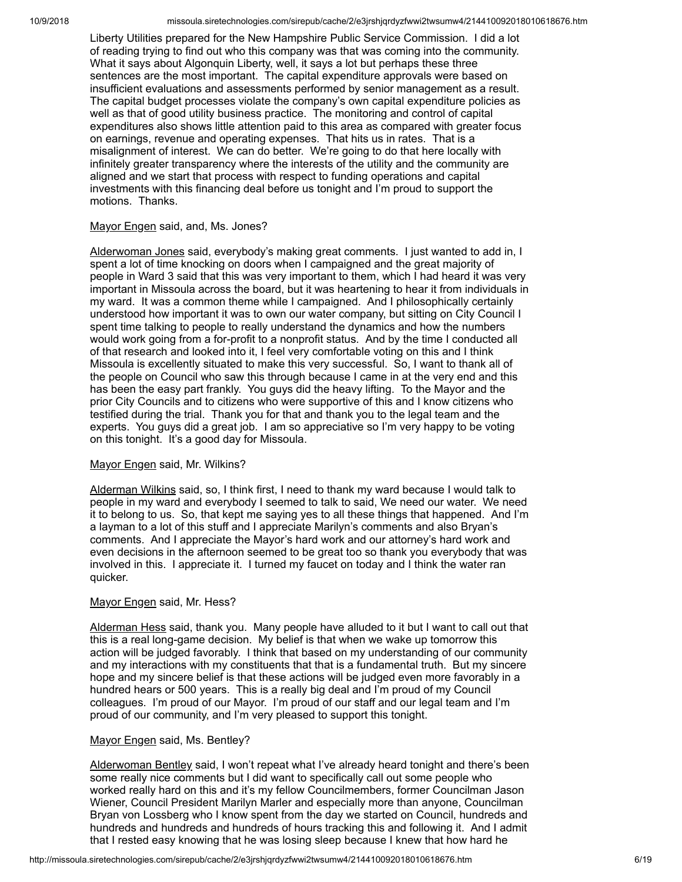Liberty Utilities prepared for the New Hampshire Public Service Commission. I did a lot of reading trying to find out who this company was that was coming into the community. What it says about Algonquin Liberty, well, it says a lot but perhaps these three sentences are the most important. The capital expenditure approvals were based on insufficient evaluations and assessments performed by senior management as a result. The capital budget processes violate the company's own capital expenditure policies as well as that of good utility business practice. The monitoring and control of capital expenditures also shows little attention paid to this area as compared with greater focus on earnings, revenue and operating expenses. That hits us in rates. That is a misalignment of interest. We can do better. We're going to do that here locally with infinitely greater transparency where the interests of the utility and the community are aligned and we start that process with respect to funding operations and capital investments with this financing deal before us tonight and I'm proud to support the motions. Thanks.

## Mayor Engen said, and, Ms. Jones?

Alderwoman Jones said, everybody's making great comments. I just wanted to add in, I spent a lot of time knocking on doors when I campaigned and the great majority of people in Ward 3 said that this was very important to them, which I had heard it was very important in Missoula across the board, but it was heartening to hear it from individuals in my ward. It was a common theme while I campaigned. And I philosophically certainly understood how important it was to own our water company, but sitting on City Council I spent time talking to people to really understand the dynamics and how the numbers would work going from a for-profit to a nonprofit status. And by the time I conducted all of that research and looked into it, I feel very comfortable voting on this and I think Missoula is excellently situated to make this very successful. So, I want to thank all of the people on Council who saw this through because I came in at the very end and this has been the easy part frankly. You guys did the heavy lifting. To the Mayor and the prior City Councils and to citizens who were supportive of this and I know citizens who testified during the trial. Thank you for that and thank you to the legal team and the experts. You guys did a great job. I am so appreciative so I'm very happy to be voting on this tonight. It's a good day for Missoula.

#### Mayor Engen said, Mr. Wilkins?

Alderman Wilkins said, so, I think first, I need to thank my ward because I would talk to people in my ward and everybody I seemed to talk to said, We need our water. We need it to belong to us. So, that kept me saying yes to all these things that happened. And I'm a layman to a lot of this stuff and I appreciate Marilyn's comments and also Bryan's comments. And I appreciate the Mayor's hard work and our attorney's hard work and even decisions in the afternoon seemed to be great too so thank you everybody that was involved in this. I appreciate it. I turned my faucet on today and I think the water ran quicker.

#### Mayor Engen said, Mr. Hess?

Alderman Hess said, thank you. Many people have alluded to it but I want to call out that this is a real long-game decision. My belief is that when we wake up tomorrow this action will be judged favorably. I think that based on my understanding of our community and my interactions with my constituents that that is a fundamental truth. But my sincere hope and my sincere belief is that these actions will be judged even more favorably in a hundred hears or 500 years. This is a really big deal and I'm proud of my Council colleagues. I'm proud of our Mayor. I'm proud of our staff and our legal team and I'm proud of our community, and I'm very pleased to support this tonight.

#### Mayor Engen said, Ms. Bentley?

Alderwoman Bentley said, I won't repeat what I've already heard tonight and there's been some really nice comments but I did want to specifically call out some people who worked really hard on this and it's my fellow Councilmembers, former Councilman Jason Wiener, Council President Marilyn Marler and especially more than anyone, Councilman Bryan von Lossberg who I know spent from the day we started on Council, hundreds and hundreds and hundreds and hundreds of hours tracking this and following it. And I admit that I rested easy knowing that he was losing sleep because I knew that how hard he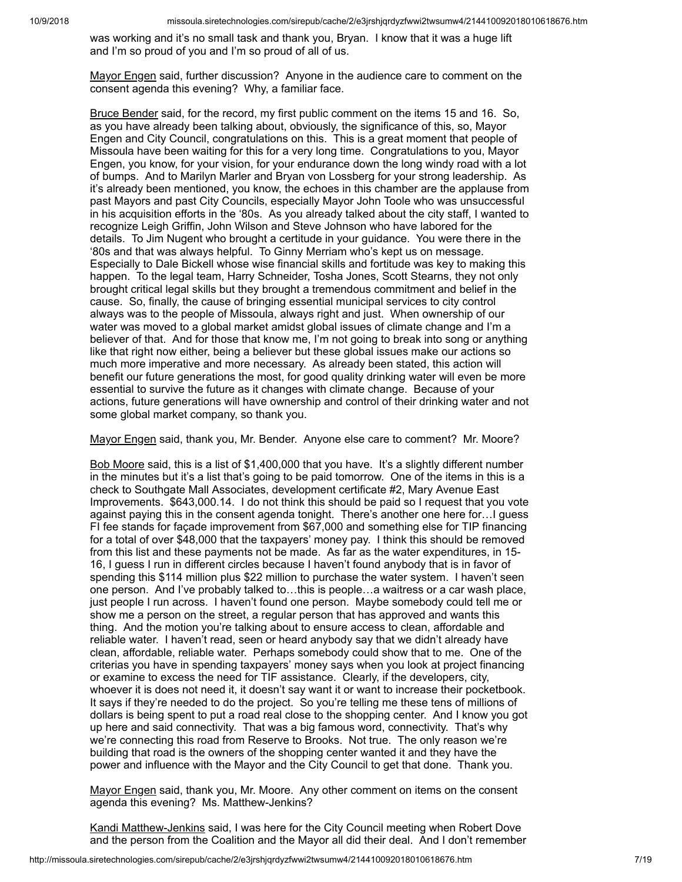was working and it's no small task and thank you, Bryan. I know that it was a huge lift and I'm so proud of you and I'm so proud of all of us.

Mayor Engen said, further discussion? Anyone in the audience care to comment on the consent agenda this evening? Why, a familiar face.

Bruce Bender said, for the record, my first public comment on the items 15 and 16. So, as you have already been talking about, obviously, the significance of this, so, Mayor Engen and City Council, congratulations on this. This is a great moment that people of Missoula have been waiting for this for a very long time. Congratulations to you, Mayor Engen, you know, for your vision, for your endurance down the long windy road with a lot of bumps. And to Marilyn Marler and Bryan von Lossberg for your strong leadership. As it's already been mentioned, you know, the echoes in this chamber are the applause from past Mayors and past City Councils, especially Mayor John Toole who was unsuccessful in his acquisition efforts in the '80s. As you already talked about the city staff, I wanted to recognize Leigh Griffin, John Wilson and Steve Johnson who have labored for the details. To Jim Nugent who brought a certitude in your guidance. You were there in the '80s and that was always helpful. To Ginny Merriam who's kept us on message. Especially to Dale Bickell whose wise financial skills and fortitude was key to making this happen. To the legal team, Harry Schneider, Tosha Jones, Scott Stearns, they not only brought critical legal skills but they brought a tremendous commitment and belief in the cause. So, finally, the cause of bringing essential municipal services to city control always was to the people of Missoula, always right and just. When ownership of our water was moved to a global market amidst global issues of climate change and I'm a believer of that. And for those that know me, I'm not going to break into song or anything like that right now either, being a believer but these global issues make our actions so much more imperative and more necessary. As already been stated, this action will benefit our future generations the most, for good quality drinking water will even be more essential to survive the future as it changes with climate change. Because of your actions, future generations will have ownership and control of their drinking water and not some global market company, so thank you.

Mayor Engen said, thank you, Mr. Bender. Anyone else care to comment? Mr. Moore?

Bob Moore said, this is a list of \$1,400,000 that you have. It's a slightly different number in the minutes but it's a list that's going to be paid tomorrow. One of the items in this is a check to Southgate Mall Associates, development certificate #2, Mary Avenue East Improvements. \$643,000.14. I do not think this should be paid so I request that you vote against paying this in the consent agenda tonight. There's another one here for…I guess FI fee stands for façade improvement from \$67,000 and something else for TIP financing for a total of over \$48,000 that the taxpayers' money pay. I think this should be removed from this list and these payments not be made. As far as the water expenditures, in 15- 16, I guess I run in different circles because I haven't found anybody that is in favor of spending this \$114 million plus \$22 million to purchase the water system. I haven't seen one person. And I've probably talked to…this is people…a waitress or a car wash place, just people I run across. I haven't found one person. Maybe somebody could tell me or show me a person on the street, a regular person that has approved and wants this thing. And the motion you're talking about to ensure access to clean, affordable and reliable water. I haven't read, seen or heard anybody say that we didn't already have clean, affordable, reliable water. Perhaps somebody could show that to me. One of the criterias you have in spending taxpayers' money says when you look at project financing or examine to excess the need for TIF assistance. Clearly, if the developers, city, whoever it is does not need it, it doesn't say want it or want to increase their pocketbook. It says if they're needed to do the project. So you're telling me these tens of millions of dollars is being spent to put a road real close to the shopping center. And I know you got up here and said connectivity. That was a big famous word, connectivity. That's why we're connecting this road from Reserve to Brooks. Not true. The only reason we're building that road is the owners of the shopping center wanted it and they have the power and influence with the Mayor and the City Council to get that done. Thank you.

Mayor Engen said, thank you, Mr. Moore. Any other comment on items on the consent agenda this evening? Ms. Matthew-Jenkins?

Kandi Matthew-Jenkins said, I was here for the City Council meeting when Robert Dove and the person from the Coalition and the Mayor all did their deal. And I don't remember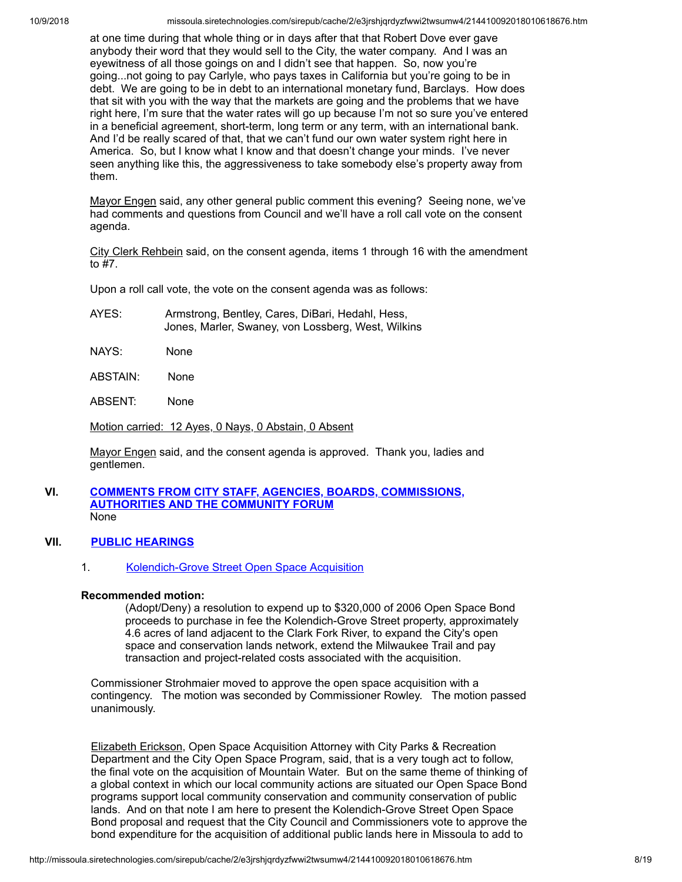at one time during that whole thing or in days after that that Robert Dove ever gave anybody their word that they would sell to the City, the water company. And I was an eyewitness of all those goings on and I didn't see that happen. So, now you're going...not going to pay Carlyle, who pays taxes in California but you're going to be in debt. We are going to be in debt to an international monetary fund, Barclays. How does that sit with you with the way that the markets are going and the problems that we have right here, I'm sure that the water rates will go up because I'm not so sure you've entered in a beneficial agreement, short-term, long term or any term, with an international bank. And I'd be really scared of that, that we can't fund our own water system right here in America. So, but I know what I know and that doesn't change your minds. I've never seen anything like this, the aggressiveness to take somebody else's property away from them.

Mayor Engen said, any other general public comment this evening? Seeing none, we've had comments and questions from Council and we'll have a roll call vote on the consent agenda.

City Clerk Rehbein said, on the consent agenda, items 1 through 16 with the amendment to #7.

Upon a roll call vote, the vote on the consent agenda was as follows:

| AYES: | Armstrong, Bentley, Cares, DiBari, Hedahl, Hess,   |
|-------|----------------------------------------------------|
|       | Jones, Marler, Swaney, von Lossberg, West, Wilkins |

NAYS: None

ABSTAIN: None

ABSENT: None

Motion carried: 12 Ayes, 0 Nays, 0 Abstain, 0 Absent

Mayor Engen said, and the consent agenda is approved. Thank you, ladies and gentlemen.

#### **VI. COMMENTS FROM CITY STAFF, AGENCIES, BOARDS, [COMMISSIONS,](http://missoula.siretechnologies.com/sirepub/agdocs.aspx?doctype=minutes&itemid=39030) AUTHORITIES AND THE COMMUNITY FORUM** None

#### **VII. PUBLIC [HEARINGS](http://missoula.siretechnologies.com/sirepub/agdocs.aspx?doctype=minutes&itemid=39032)**

## 1. [Kolendich-Grove](http://missoula.siretechnologies.com/sirepub/agdocs.aspx?doctype=minutes&itemid=39221) Street Open Space Acquisition

#### **Recommended motion:**

(Adopt/Deny) a resolution to expend up to \$320,000 of 2006 Open Space Bond proceeds to purchase in fee the Kolendich-Grove Street property, approximately 4.6 acres of land adjacent to the Clark Fork River, to expand the City's open space and conservation lands network, extend the Milwaukee Trail and pay transaction and project-related costs associated with the acquisition.

Commissioner Strohmaier moved to approve the open space acquisition with a contingency. The motion was seconded by Commissioner Rowley. The motion passed unanimously.

Elizabeth Erickson, Open Space Acquisition Attorney with City Parks & Recreation Department and the City Open Space Program, said, that is a very tough act to follow, the final vote on the acquisition of Mountain Water. But on the same theme of thinking of a global context in which our local community actions are situated our Open Space Bond programs support local community conservation and community conservation of public lands. And on that note I am here to present the Kolendich-Grove Street Open Space Bond proposal and request that the City Council and Commissioners vote to approve the bond expenditure for the acquisition of additional public lands here in Missoula to add to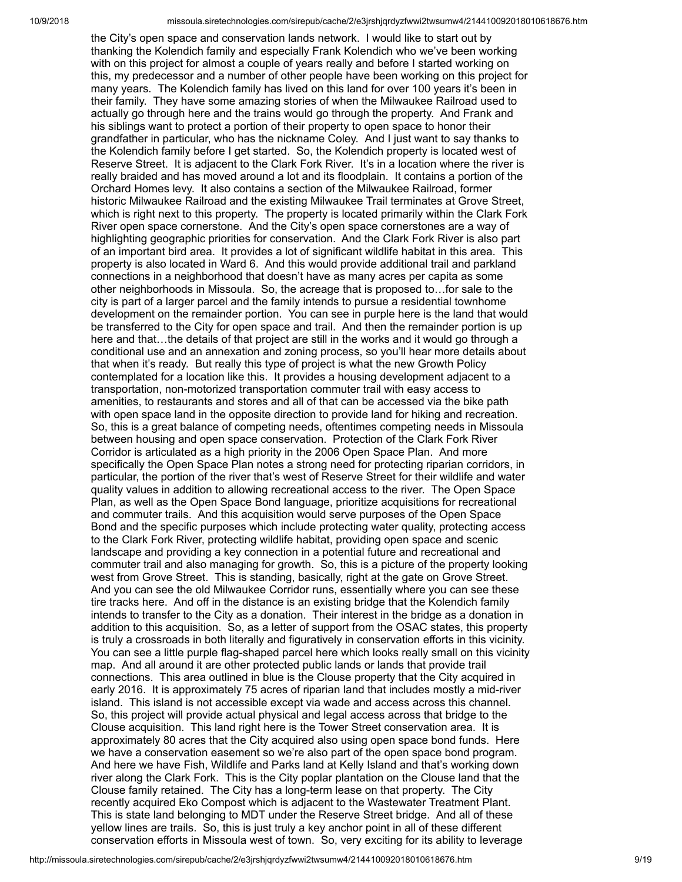the City's open space and conservation lands network. I would like to start out by thanking the Kolendich family and especially Frank Kolendich who we've been working with on this project for almost a couple of years really and before I started working on this, my predecessor and a number of other people have been working on this project for many years. The Kolendich family has lived on this land for over 100 years it's been in their family. They have some amazing stories of when the Milwaukee Railroad used to actually go through here and the trains would go through the property. And Frank and his siblings want to protect a portion of their property to open space to honor their grandfather in particular, who has the nickname Coley. And I just want to say thanks to the Kolendich family before I get started. So, the Kolendich property is located west of Reserve Street. It is adjacent to the Clark Fork River. It's in a location where the river is really braided and has moved around a lot and its floodplain. It contains a portion of the Orchard Homes levy. It also contains a section of the Milwaukee Railroad, former historic Milwaukee Railroad and the existing Milwaukee Trail terminates at Grove Street, which is right next to this property. The property is located primarily within the Clark Fork River open space cornerstone. And the City's open space cornerstones are a way of highlighting geographic priorities for conservation. And the Clark Fork River is also part of an important bird area. It provides a lot of significant wildlife habitat in this area. This property is also located in Ward 6. And this would provide additional trail and parkland connections in a neighborhood that doesn't have as many acres per capita as some other neighborhoods in Missoula. So, the acreage that is proposed to…for sale to the city is part of a larger parcel and the family intends to pursue a residential townhome development on the remainder portion. You can see in purple here is the land that would be transferred to the City for open space and trail. And then the remainder portion is up here and that…the details of that project are still in the works and it would go through a conditional use and an annexation and zoning process, so you'll hear more details about that when it's ready. But really this type of project is what the new Growth Policy contemplated for a location like this. It provides a housing development adjacent to a transportation, non-motorized transportation commuter trail with easy access to amenities, to restaurants and stores and all of that can be accessed via the bike path with open space land in the opposite direction to provide land for hiking and recreation. So, this is a great balance of competing needs, oftentimes competing needs in Missoula between housing and open space conservation. Protection of the Clark Fork River Corridor is articulated as a high priority in the 2006 Open Space Plan. And more specifically the Open Space Plan notes a strong need for protecting riparian corridors, in particular, the portion of the river that's west of Reserve Street for their wildlife and water quality values in addition to allowing recreational access to the river. The Open Space Plan, as well as the Open Space Bond language, prioritize acquisitions for recreational and commuter trails. And this acquisition would serve purposes of the Open Space Bond and the specific purposes which include protecting water quality, protecting access to the Clark Fork River, protecting wildlife habitat, providing open space and scenic landscape and providing a key connection in a potential future and recreational and commuter trail and also managing for growth. So, this is a picture of the property looking west from Grove Street. This is standing, basically, right at the gate on Grove Street. And you can see the old Milwaukee Corridor runs, essentially where you can see these tire tracks here. And off in the distance is an existing bridge that the Kolendich family intends to transfer to the City as a donation. Their interest in the bridge as a donation in addition to this acquisition. So, as a letter of support from the OSAC states, this property is truly a crossroads in both literally and figuratively in conservation efforts in this vicinity. You can see a little purple flag-shaped parcel here which looks really small on this vicinity map. And all around it are other protected public lands or lands that provide trail connections. This area outlined in blue is the Clouse property that the City acquired in early 2016. It is approximately 75 acres of riparian land that includes mostly a mid-river island. This island is not accessible except via wade and access across this channel. So, this project will provide actual physical and legal access across that bridge to the Clouse acquisition. This land right here is the Tower Street conservation area. It is approximately 80 acres that the City acquired also using open space bond funds. Here we have a conservation easement so we're also part of the open space bond program. And here we have Fish, Wildlife and Parks land at Kelly Island and that's working down river along the Clark Fork. This is the City poplar plantation on the Clouse land that the Clouse family retained. The City has a long-term lease on that property. The City recently acquired Eko Compost which is adjacent to the Wastewater Treatment Plant. This is state land belonging to MDT under the Reserve Street bridge. And all of these yellow lines are trails. So, this is just truly a key anchor point in all of these different conservation efforts in Missoula west of town. So, very exciting for its ability to leverage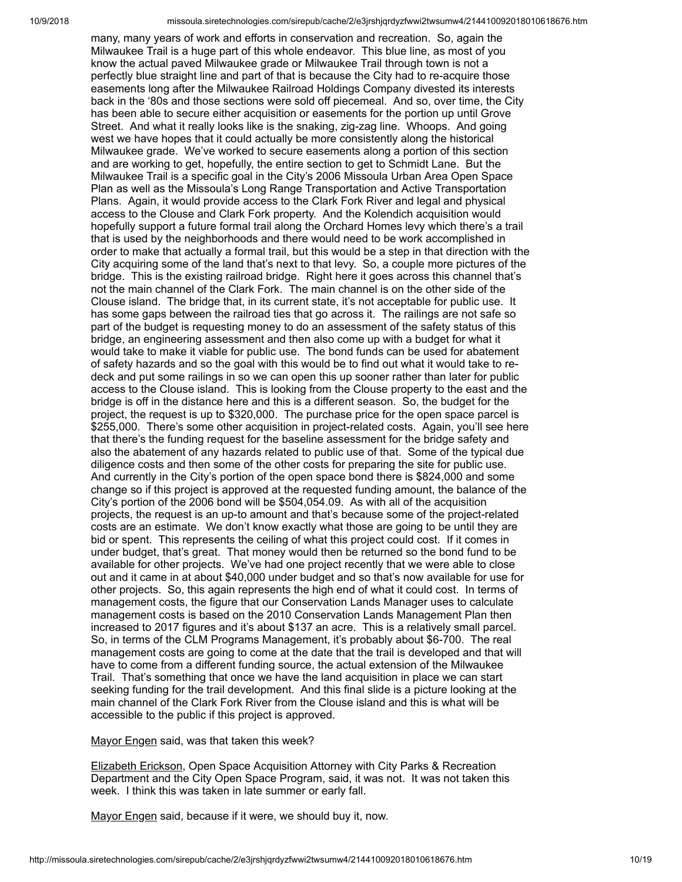many, many years of work and efforts in conservation and recreation. So, again the Milwaukee Trail is a huge part of this whole endeavor. This blue line, as most of you know the actual paved Milwaukee grade or Milwaukee Trail through town is not a perfectly blue straight line and part of that is because the City had to re-acquire those easements long after the Milwaukee Railroad Holdings Company divested its interests back in the '80s and those sections were sold off piecemeal. And so, over time, the City has been able to secure either acquisition or easements for the portion up until Grove Street. And what it really looks like is the snaking, zig-zag line. Whoops. And going west we have hopes that it could actually be more consistently along the historical Milwaukee grade. We've worked to secure easements along a portion of this section and are working to get, hopefully, the entire section to get to Schmidt Lane. But the Milwaukee Trail is a specific goal in the City's 2006 Missoula Urban Area Open Space Plan as well as the Missoula's Long Range Transportation and Active Transportation Plans. Again, it would provide access to the Clark Fork River and legal and physical access to the Clouse and Clark Fork property. And the Kolendich acquisition would hopefully support a future formal trail along the Orchard Homes levy which there's a trail that is used by the neighborhoods and there would need to be work accomplished in order to make that actually a formal trail, but this would be a step in that direction with the City acquiring some of the land that's next to that levy. So, a couple more pictures of the bridge. This is the existing railroad bridge. Right here it goes across this channel that's not the main channel of the Clark Fork. The main channel is on the other side of the Clouse island. The bridge that, in its current state, it's not acceptable for public use. It has some gaps between the railroad ties that go across it. The railings are not safe so part of the budget is requesting money to do an assessment of the safety status of this bridge, an engineering assessment and then also come up with a budget for what it would take to make it viable for public use. The bond funds can be used for abatement of safety hazards and so the goal with this would be to find out what it would take to redeck and put some railings in so we can open this up sooner rather than later for public access to the Clouse island. This is looking from the Clouse property to the east and the bridge is off in the distance here and this is a different season. So, the budget for the project, the request is up to \$320,000. The purchase price for the open space parcel is \$255,000. There's some other acquisition in project-related costs. Again, you'll see here that there's the funding request for the baseline assessment for the bridge safety and also the abatement of any hazards related to public use of that. Some of the typical due diligence costs and then some of the other costs for preparing the site for public use. And currently in the City's portion of the open space bond there is \$824,000 and some change so if this project is approved at the requested funding amount, the balance of the City's portion of the 2006 bond will be \$504,054.09. As with all of the acquisition projects, the request is an up-to amount and that's because some of the project-related costs are an estimate. We don't know exactly what those are going to be until they are bid or spent. This represents the ceiling of what this project could cost. If it comes in under budget, that's great. That money would then be returned so the bond fund to be available for other projects. We've had one project recently that we were able to close out and it came in at about \$40,000 under budget and so that's now available for use for other projects. So, this again represents the high end of what it could cost. In terms of management costs, the figure that our Conservation Lands Manager uses to calculate management costs is based on the 2010 Conservation Lands Management Plan then increased to 2017 figures and it's about \$137 an acre. This is a relatively small parcel. So, in terms of the CLM Programs Management, it's probably about \$6-700. The real management costs are going to come at the date that the trail is developed and that will have to come from a different funding source, the actual extension of the Milwaukee Trail. That's something that once we have the land acquisition in place we can start seeking funding for the trail development. And this final slide is a picture looking at the main channel of the Clark Fork River from the Clouse island and this is what will be accessible to the public if this project is approved.

Mayor Engen said, was that taken this week?

Elizabeth Erickson, Open Space Acquisition Attorney with City Parks & Recreation Department and the City Open Space Program, said, it was not. It was not taken this week. I think this was taken in late summer or early fall.

Mayor Engen said, because if it were, we should buy it, now.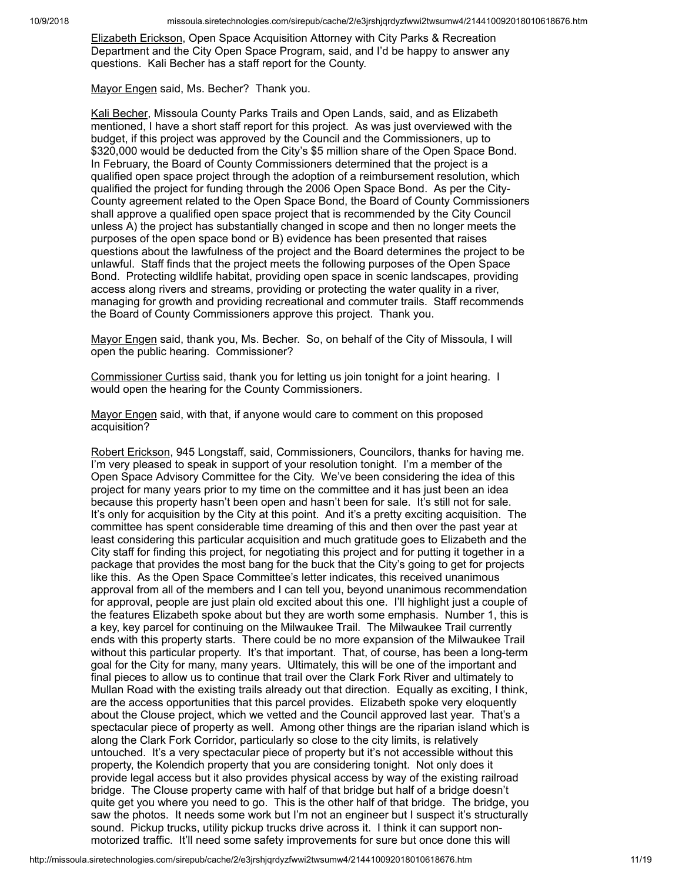Elizabeth Erickson, Open Space Acquisition Attorney with City Parks & Recreation Department and the City Open Space Program, said, and I'd be happy to answer any questions. Kali Becher has a staff report for the County.

Mayor Engen said, Ms. Becher? Thank you.

**Kali Becher, Missoula County Parks Trails and Open Lands, said, and as Elizabeth** mentioned, I have a short staff report for this project. As was just overviewed with the budget, if this project was approved by the Council and the Commissioners, up to \$320,000 would be deducted from the City's \$5 million share of the Open Space Bond. In February, the Board of County Commissioners determined that the project is a qualified open space project through the adoption of a reimbursement resolution, which qualified the project for funding through the 2006 Open Space Bond. As per the City-County agreement related to the Open Space Bond, the Board of County Commissioners shall approve a qualified open space project that is recommended by the City Council unless A) the project has substantially changed in scope and then no longer meets the purposes of the open space bond or B) evidence has been presented that raises questions about the lawfulness of the project and the Board determines the project to be unlawful. Staff finds that the project meets the following purposes of the Open Space Bond. Protecting wildlife habitat, providing open space in scenic landscapes, providing access along rivers and streams, providing or protecting the water quality in a river, managing for growth and providing recreational and commuter trails. Staff recommends the Board of County Commissioners approve this project. Thank you.

Mayor Engen said, thank you, Ms. Becher. So, on behalf of the City of Missoula, I will open the public hearing. Commissioner?

Commissioner Curtiss said, thank you for letting us join tonight for a joint hearing. I would open the hearing for the County Commissioners.

<u>Mayor Engen</u> said, with that, if anyone would care to comment on this proposed acquisition?

Robert Erickson, 945 Longstaff, said, Commissioners, Councilors, thanks for having me. I'm very pleased to speak in support of your resolution tonight. I'm a member of the Open Space Advisory Committee for the City. We've been considering the idea of this project for many years prior to my time on the committee and it has just been an idea because this property hasn't been open and hasn't been for sale. It's still not for sale. It's only for acquisition by the City at this point. And it's a pretty exciting acquisition. The committee has spent considerable time dreaming of this and then over the past year at least considering this particular acquisition and much gratitude goes to Elizabeth and the City staff for finding this project, for negotiating this project and for putting it together in a package that provides the most bang for the buck that the City's going to get for projects like this. As the Open Space Committee's letter indicates, this received unanimous approval from all of the members and I can tell you, beyond unanimous recommendation for approval, people are just plain old excited about this one. I'll highlight just a couple of the features Elizabeth spoke about but they are worth some emphasis. Number 1, this is a key, key parcel for continuing on the Milwaukee Trail. The Milwaukee Trail currently ends with this property starts. There could be no more expansion of the Milwaukee Trail without this particular property. It's that important. That, of course, has been a long-term goal for the City for many, many years. Ultimately, this will be one of the important and final pieces to allow us to continue that trail over the Clark Fork River and ultimately to Mullan Road with the existing trails already out that direction. Equally as exciting, I think, are the access opportunities that this parcel provides. Elizabeth spoke very eloquently about the Clouse project, which we vetted and the Council approved last year. That's a spectacular piece of property as well. Among other things are the riparian island which is along the Clark Fork Corridor, particularly so close to the city limits, is relatively untouched. It's a very spectacular piece of property but it's not accessible without this property, the Kolendich property that you are considering tonight. Not only does it provide legal access but it also provides physical access by way of the existing railroad bridge. The Clouse property came with half of that bridge but half of a bridge doesn't quite get you where you need to go. This is the other half of that bridge. The bridge, you saw the photos. It needs some work but I'm not an engineer but I suspect it's structurally sound. Pickup trucks, utility pickup trucks drive across it. I think it can support nonmotorized traffic. It'll need some safety improvements for sure but once done this will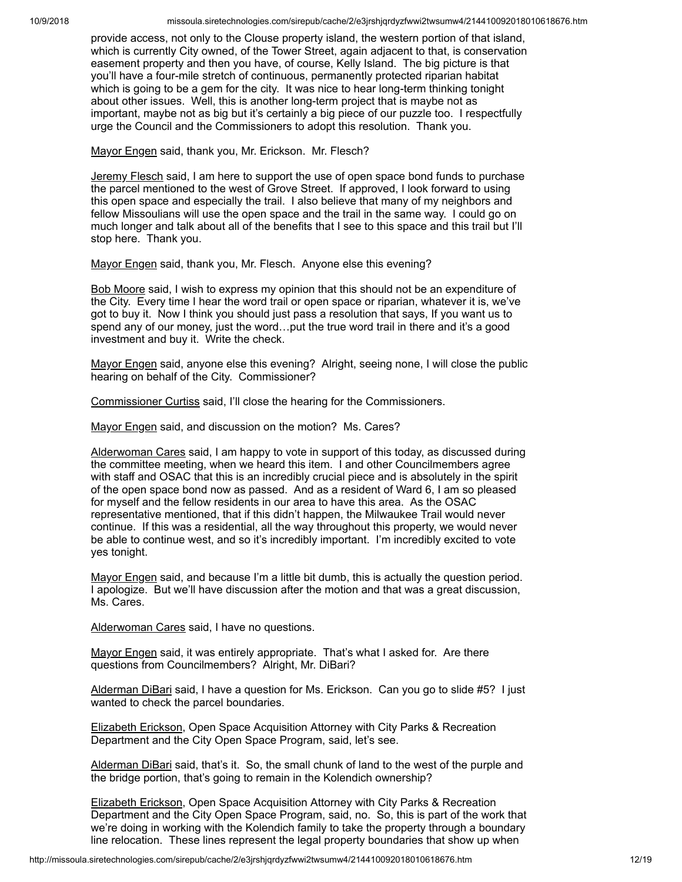provide access, not only to the Clouse property island, the western portion of that island, which is currently City owned, of the Tower Street, again adjacent to that, is conservation easement property and then you have, of course, Kelly Island. The big picture is that you'll have a four-mile stretch of continuous, permanently protected riparian habitat which is going to be a gem for the city. It was nice to hear long-term thinking tonight about other issues. Well, this is another long-term project that is maybe not as important, maybe not as big but it's certainly a big piece of our puzzle too. I respectfully urge the Council and the Commissioners to adopt this resolution. Thank you.

Mayor Engen said, thank you, Mr. Erickson. Mr. Flesch?

Jeremy Flesch said, I am here to support the use of open space bond funds to purchase the parcel mentioned to the west of Grove Street. If approved, I look forward to using this open space and especially the trail. I also believe that many of my neighbors and fellow Missoulians will use the open space and the trail in the same way. I could go on much longer and talk about all of the benefits that I see to this space and this trail but I'll stop here. Thank you.

Mayor Engen said, thank you, Mr. Flesch. Anyone else this evening?

Bob Moore said, I wish to express my opinion that this should not be an expenditure of the City. Every time I hear the word trail or open space or riparian, whatever it is, we've got to buy it. Now I think you should just pass a resolution that says, If you want us to spend any of our money, just the word…put the true word trail in there and it's a good investment and buy it. Write the check.

Mayor Engen said, anyone else this evening? Alright, seeing none, I will close the public hearing on behalf of the City. Commissioner?

Commissioner Curtiss said, I'll close the hearing for the Commissioners.

Mayor Engen said, and discussion on the motion? Ms. Cares?

Alderwoman Cares said, I am happy to vote in support of this today, as discussed during the committee meeting, when we heard this item. I and other Councilmembers agree with staff and OSAC that this is an incredibly crucial piece and is absolutely in the spirit of the open space bond now as passed. And as a resident of Ward 6, I am so pleased for myself and the fellow residents in our area to have this area. As the OSAC representative mentioned, that if this didn't happen, the Milwaukee Trail would never continue. If this was a residential, all the way throughout this property, we would never be able to continue west, and so it's incredibly important. I'm incredibly excited to vote yes tonight.

Mayor Engen said, and because I'm a little bit dumb, this is actually the question period. I apologize. But we'll have discussion after the motion and that was a great discussion, Ms. Cares.

Alderwoman Cares said, I have no questions.

Mayor Engen said, it was entirely appropriate. That's what I asked for. Are there questions from Councilmembers? Alright, Mr. DiBari?

Alderman DiBari said, I have a question for Ms. Erickson. Can you go to slide #5? I just wanted to check the parcel boundaries.

Elizabeth Erickson, Open Space Acquisition Attorney with City Parks & Recreation Department and the City Open Space Program, said, let's see.

Alderman DiBari said, that's it. So, the small chunk of land to the west of the purple and the bridge portion, that's going to remain in the Kolendich ownership?

Elizabeth Erickson, Open Space Acquisition Attorney with City Parks & Recreation Department and the City Open Space Program, said, no. So, this is part of the work that we're doing in working with the Kolendich family to take the property through a boundary line relocation. These lines represent the legal property boundaries that show up when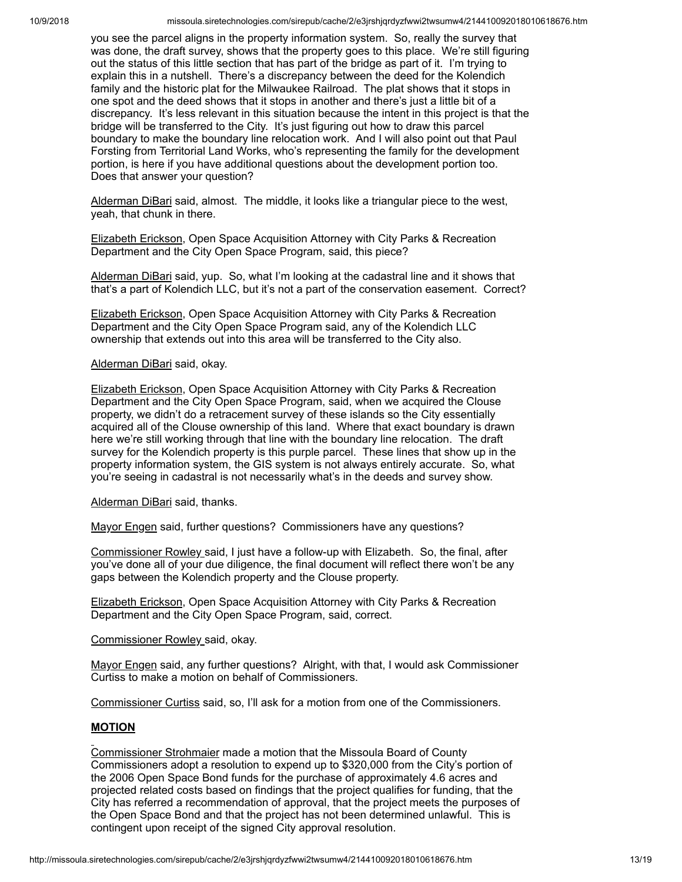you see the parcel aligns in the property information system. So, really the survey that was done, the draft survey, shows that the property goes to this place. We're still figuring out the status of this little section that has part of the bridge as part of it. I'm trying to explain this in a nutshell. There's a discrepancy between the deed for the Kolendich family and the historic plat for the Milwaukee Railroad. The plat shows that it stops in one spot and the deed shows that it stops in another and there's just a little bit of a discrepancy. It's less relevant in this situation because the intent in this project is that the bridge will be transferred to the City. It's just figuring out how to draw this parcel boundary to make the boundary line relocation work. And I will also point out that Paul Forsting from Territorial Land Works, who's representing the family for the development portion, is here if you have additional questions about the development portion too. Does that answer your question?

Alderman DiBari said, almost. The middle, it looks like a triangular piece to the west, yeah, that chunk in there.

Elizabeth Erickson, Open Space Acquisition Attorney with City Parks & Recreation Department and the City Open Space Program, said, this piece?

Alderman DiBari said, yup. So, what I'm looking at the cadastral line and it shows that that's a part of Kolendich LLC, but it's not a part of the conservation easement. Correct?

Elizabeth Erickson, Open Space Acquisition Attorney with City Parks & Recreation Department and the City Open Space Program said, any of the Kolendich LLC ownership that extends out into this area will be transferred to the City also.

#### Alderman DiBari said, okay.

Elizabeth Erickson, Open Space Acquisition Attorney with City Parks & Recreation Department and the City Open Space Program, said, when we acquired the Clouse property, we didn't do a retracement survey of these islands so the City essentially acquired all of the Clouse ownership of this land. Where that exact boundary is drawn here we're still working through that line with the boundary line relocation. The draft survey for the Kolendich property is this purple parcel. These lines that show up in the property information system, the GIS system is not always entirely accurate. So, what you're seeing in cadastral is not necessarily what's in the deeds and survey show.

Alderman DiBari said, thanks.

Mayor Engen said, further questions? Commissioners have any questions?

Commissioner Rowley said, I just have a follow-up with Elizabeth. So, the final, after you've done all of your due diligence, the final document will reflect there won't be any gaps between the Kolendich property and the Clouse property.

Elizabeth Erickson, Open Space Acquisition Attorney with City Parks & Recreation Department and the City Open Space Program, said, correct.

Commissioner Rowley said, okay.

Mayor Engen said, any further questions? Alright, with that, I would ask Commissioner Curtiss to make a motion on behalf of Commissioners.

Commissioner Curtiss said, so, I'll ask for a motion from one of the Commissioners.

### **MOTION**

Commissioner Strohmaier made a motion that the Missoula Board of County Commissioners adopt a resolution to expend up to \$320,000 from the City's portion of the 2006 Open Space Bond funds for the purchase of approximately 4.6 acres and projected related costs based on findings that the project qualifies for funding, that the City has referred a recommendation of approval, that the project meets the purposes of the Open Space Bond and that the project has not been determined unlawful. This is contingent upon receipt of the signed City approval resolution.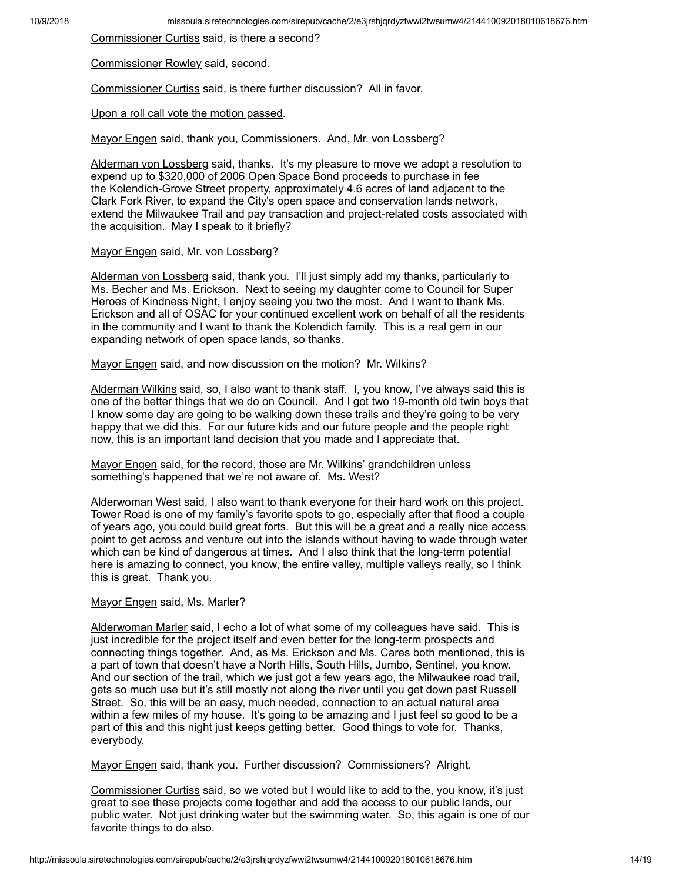Commissioner Curtiss said, is there a second?

Commissioner Rowley said, second.

Commissioner Curtiss said, is there further discussion? All in favor.

Upon a roll call vote the motion passed.

Mayor Engen said, thank you, Commissioners. And, Mr. von Lossberg?

Alderman von Lossberg said, thanks. It's my pleasure to move we adopt a resolution to expend up to \$320,000 of 2006 Open Space Bond proceeds to purchase in fee the Kolendich-Grove Street property, approximately 4.6 acres of land adjacent to the Clark Fork River, to expand the City's open space and conservation lands network, extend the Milwaukee Trail and pay transaction and project-related costs associated with the acquisition. May I speak to it briefly?

#### Mayor Engen said, Mr. von Lossberg?

Alderman von Lossberg said, thank you. I'll just simply add my thanks, particularly to Ms. Becher and Ms. Erickson. Next to seeing my daughter come to Council for Super Heroes of Kindness Night, I enjoy seeing you two the most. And I want to thank Ms. Erickson and all of OSAC for your continued excellent work on behalf of all the residents in the community and I want to thank the Kolendich family. This is a real gem in our expanding network of open space lands, so thanks.

Mayor Engen said, and now discussion on the motion? Mr. Wilkins?

Alderman Wilkins said, so, I also want to thank staff. I, you know, I've always said this is one of the better things that we do on Council. And I got two 19-month old twin boys that I know some day are going to be walking down these trails and they're going to be very happy that we did this. For our future kids and our future people and the people right now, this is an important land decision that you made and I appreciate that.

Mayor Engen said, for the record, those are Mr. Wilkins' grandchildren unless something's happened that we're not aware of. Ms. West?

Alderwoman West said, I also want to thank everyone for their hard work on this project. Tower Road is one of my family's favorite spots to go, especially after that flood a couple of years ago, you could build great forts. But this will be a great and a really nice access point to get across and venture out into the islands without having to wade through water which can be kind of dangerous at times. And I also think that the long-term potential here is amazing to connect, you know, the entire valley, multiple valleys really, so I think this is great. Thank you.

#### Mayor Engen said, Ms. Marler?

Alderwoman Marler said, I echo a lot of what some of my colleagues have said. This is just incredible for the project itself and even better for the long-term prospects and connecting things together. And, as Ms. Erickson and Ms. Cares both mentioned, this is a part of town that doesn't have a North Hills, South Hills, Jumbo, Sentinel, you know. And our section of the trail, which we just got a few years ago, the Milwaukee road trail, gets so much use but it's still mostly not along the river until you get down past Russell Street. So, this will be an easy, much needed, connection to an actual natural area within a few miles of my house. It's going to be amazing and I just feel so good to be a part of this and this night just keeps getting better. Good things to vote for. Thanks, everybody.

Mayor Engen said, thank you. Further discussion? Commissioners? Alright.

Commissioner Curtiss said, so we voted but I would like to add to the, you know, it's just great to see these projects come together and add the access to our public lands, our public water. Not just drinking water but the swimming water. So, this again is one of our favorite things to do also.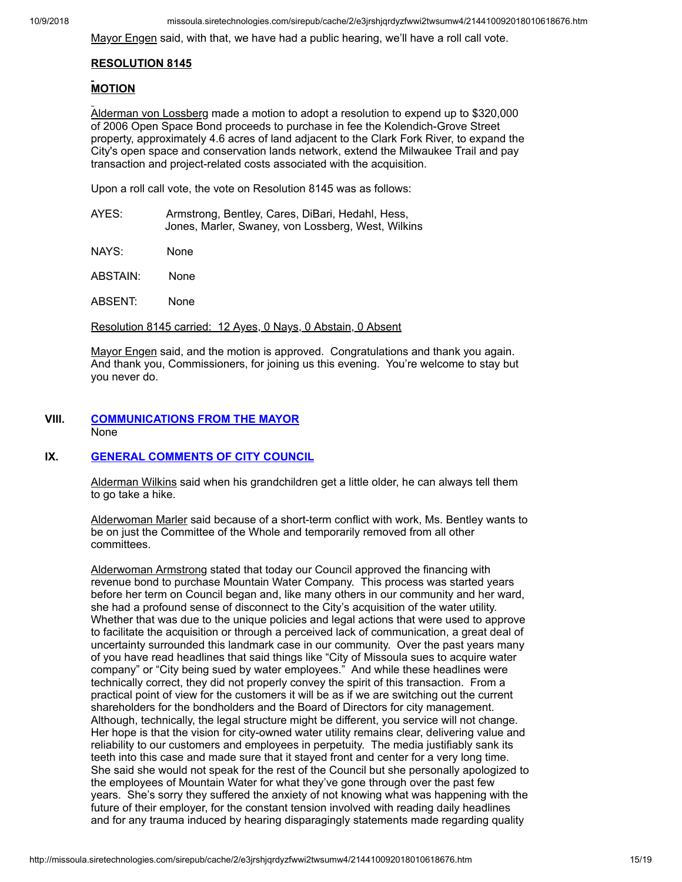Mayor Engen said, with that, we have had a public hearing, we'll have a roll call vote.

## **RESOLUTION 8145**

## **MOTION**

Alderman von Lossberg made a motion to adopt a resolution to expend up to \$320,000 of 2006 Open Space Bond proceeds to purchase in fee the Kolendich-Grove Street property, approximately 4.6 acres of land adjacent to the Clark Fork River, to expand the City's open space and conservation lands network, extend the Milwaukee Trail and pay transaction and project-related costs associated with the acquisition.

Upon a roll call vote, the vote on Resolution 8145 was as follows:

AYES: Armstrong, Bentley, Cares, DiBari, Hedahl, Hess, Jones, Marler, Swaney, von Lossberg, West, Wilkins

NAYS: None

ABSTAIN: None

ABSENT: None

Resolution 8145 carried: 12 Ayes, 0 Nays, 0 Abstain, 0 Absent

Mayor Engen said, and the motion is approved. Congratulations and thank you again. And thank you, Commissioners, for joining us this evening. You're welcome to stay but you never do.

## **VIII. [COMMUNICATIONS](http://missoula.siretechnologies.com/sirepub/agdocs.aspx?doctype=minutes&itemid=39033) FROM THE MAYOR** None

## **IX. GENERAL [COMMENTS](http://missoula.siretechnologies.com/sirepub/agdocs.aspx?doctype=minutes&itemid=39034) OF CITY COUNCIL**

Alderman Wilkins said when his grandchildren get a little older, he can always tell them to go take a hike.

Alderwoman Marler said because of a short-term conflict with work, Ms. Bentley wants to be on just the Committee of the Whole and temporarily removed from all other committees.

Alderwoman Armstrong stated that today our Council approved the financing with revenue bond to purchase Mountain Water Company. This process was started years before her term on Council began and, like many others in our community and her ward, she had a profound sense of disconnect to the City's acquisition of the water utility. Whether that was due to the unique policies and legal actions that were used to approve to facilitate the acquisition or through a perceived lack of communication, a great deal of uncertainty surrounded this landmark case in our community. Over the past years many of you have read headlines that said things like "City of Missoula sues to acquire water company" or "City being sued by water employees." And while these headlines were technically correct, they did not properly convey the spirit of this transaction. From a practical point of view for the customers it will be as if we are switching out the current shareholders for the bondholders and the Board of Directors for city management. Although, technically, the legal structure might be different, you service will not change. Her hope is that the vision for city-owned water utility remains clear, delivering value and reliability to our customers and employees in perpetuity. The media justifiably sank its teeth into this case and made sure that it stayed front and center for a very long time. She said she would not speak for the rest of the Council but she personally apologized to the employees of Mountain Water for what they've gone through over the past few years. She's sorry they suffered the anxiety of not knowing what was happening with the future of their employer, for the constant tension involved with reading daily headlines and for any trauma induced by hearing disparagingly statements made regarding quality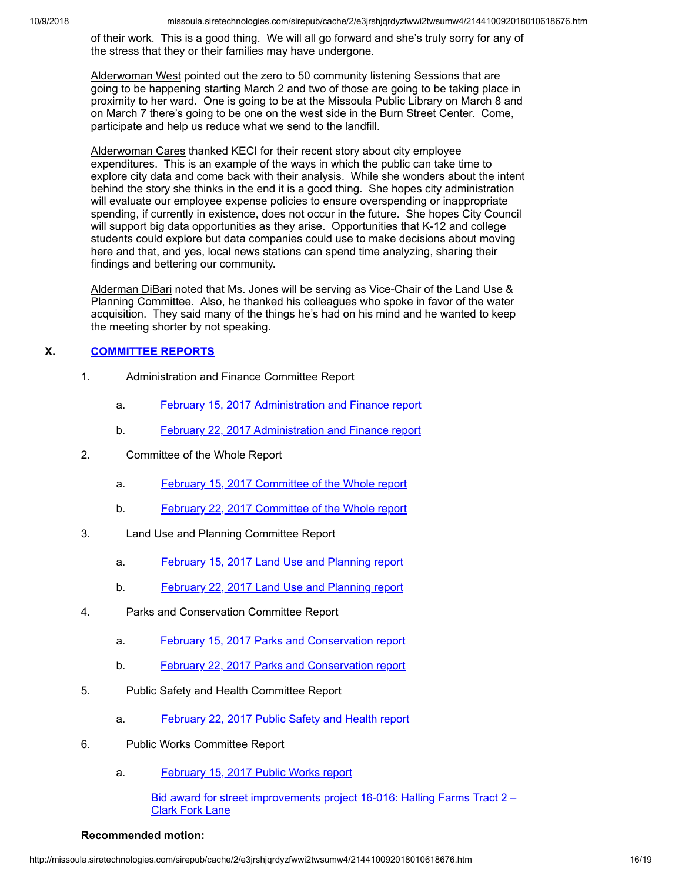of their work. This is a good thing. We will all go forward and she's truly sorry for any of the stress that they or their families may have undergone.

Alderwoman West pointed out the zero to 50 community listening Sessions that are going to be happening starting March 2 and two of those are going to be taking place in proximity to her ward. One is going to be at the Missoula Public Library on March 8 and on March 7 there's going to be one on the west side in the Burn Street Center. Come, participate and help us reduce what we send to the landfill.

Alderwoman Cares thanked KECI for their recent story about city employee expenditures. This is an example of the ways in which the public can take time to explore city data and come back with their analysis. While she wonders about the intent behind the story she thinks in the end it is a good thing. She hopes city administration will evaluate our employee expense policies to ensure overspending or inappropriate spending, if currently in existence, does not occur in the future. She hopes City Council will support big data opportunities as they arise. Opportunities that K-12 and college students could explore but data companies could use to make decisions about moving here and that, and yes, local news stations can spend time analyzing, sharing their findings and bettering our community.

Alderman DiBari noted that Ms. Jones will be serving as Vice-Chair of the Land Use & Planning Committee. Also, he thanked his colleagues who spoke in favor of the water acquisition. They said many of the things he's had on his mind and he wanted to keep the meeting shorter by not speaking.

# **X. [COMMITTEE](http://missoula.siretechnologies.com/sirepub/agdocs.aspx?doctype=minutes&itemid=39035) REPORTS**

- 1. Administration and Finance Committee Report
	- a. February 15, 2017 [Administration](http://missoula.siretechnologies.com/sirepub/agdocs.aspx?doctype=minutes&itemid=39059) and Finance report
	- b. February 22, 2017 [Administration](http://missoula.siretechnologies.com/sirepub/agdocs.aspx?doctype=minutes&itemid=39060) and Finance report
- 2. Committee of the Whole Report
	- a. February 15, 2017 [Committee](http://missoula.siretechnologies.com/sirepub/agdocs.aspx?doctype=minutes&itemid=39061) of the Whole report
	- b. February 22, 2017 [Committee](http://missoula.siretechnologies.com/sirepub/agdocs.aspx?doctype=minutes&itemid=39062) of the Whole report
- 3. Land Use and Planning Committee Report
	- a. [February](http://missoula.siretechnologies.com/sirepub/agdocs.aspx?doctype=minutes&itemid=39063) 15, 2017 Land Use and Planning report
	- b. [February](http://missoula.siretechnologies.com/sirepub/agdocs.aspx?doctype=minutes&itemid=39064) 22, 2017 Land Use and Planning report
- 4. Parks and Conservation Committee Report
	- a. February 15, 2017 Parks and [Conservation](http://missoula.siretechnologies.com/sirepub/agdocs.aspx?doctype=minutes&itemid=39065) report
	- b. February 22, 2017 Parks and [Conservation](http://missoula.siretechnologies.com/sirepub/agdocs.aspx?doctype=minutes&itemid=39066) report
- 5. Public Safety and Health Committee Report
	- a. [February](http://missoula.siretechnologies.com/sirepub/agdocs.aspx?doctype=minutes&itemid=39067) 22, 2017 Public Safety and Health report
- 6. Public Works Committee Report
	- a. [February](http://missoula.siretechnologies.com/sirepub/agdocs.aspx?doctype=minutes&itemid=39068) 15, 2017 Public Works report

Bid award for street [improvements](http://missoula.siretechnologies.com/sirepub/agdocs.aspx?doctype=minutes&itemid=39196) project 16-016: Halling Farms Tract 2 -Clark Fork Lane

## **Recommended motion:**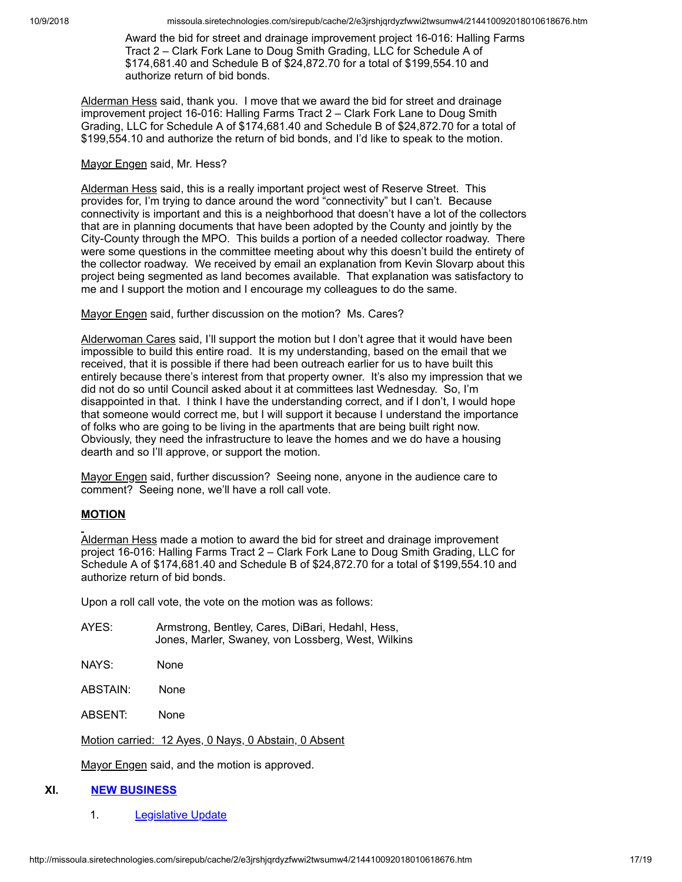Award the bid for street and drainage improvement project 16-016: Halling Farms Tract 2 – Clark Fork Lane to Doug Smith Grading, LLC for Schedule A of \$174,681.40 and Schedule B of \$24,872.70 for a total of \$199,554.10 and authorize return of bid bonds.

Alderman Hess said, thank you. I move that we award the bid for street and drainage improvement project 16-016: Halling Farms Tract 2 – Clark Fork Lane to Doug Smith Grading, LLC for Schedule A of \$174,681.40 and Schedule B of \$24,872.70 for a total of \$199,554.10 and authorize the return of bid bonds, and I'd like to speak to the motion.

## Mayor Engen said, Mr. Hess?

Alderman Hess said, this is a really important project west of Reserve Street. This provides for, I'm trying to dance around the word "connectivity" but I can't. Because connectivity is important and this is a neighborhood that doesn't have a lot of the collectors that are in planning documents that have been adopted by the County and jointly by the City-County through the MPO. This builds a portion of a needed collector roadway. There were some questions in the committee meeting about why this doesn't build the entirety of the collector roadway. We received by email an explanation from Kevin Slovarp about this project being segmented as land becomes available. That explanation was satisfactory to me and I support the motion and I encourage my colleagues to do the same.

Mayor Engen said, further discussion on the motion? Ms. Cares?

Alderwoman Cares said, I'll support the motion but I don't agree that it would have been impossible to build this entire road. It is my understanding, based on the email that we received, that it is possible if there had been outreach earlier for us to have built this entirely because there's interest from that property owner. It's also my impression that we did not do so until Council asked about it at committees last Wednesday. So, I'm disappointed in that. I think I have the understanding correct, and if I don't, I would hope that someone would correct me, but I will support it because I understand the importance of folks who are going to be living in the apartments that are being built right now. Obviously, they need the infrastructure to leave the homes and we do have a housing dearth and so I'll approve, or support the motion.

Mayor Engen said, further discussion? Seeing none, anyone in the audience care to comment? Seeing none, we'll have a roll call vote.

## **MOTION**

Alderman Hess made a motion to award the bid for street and drainage improvement project 16-016: Halling Farms Tract 2 – Clark Fork Lane to Doug Smith Grading, LLC for Schedule A of \$174,681.40 and Schedule B of \$24,872.70 for a total of \$199,554.10 and authorize return of bid bonds.

Upon a roll call vote, the vote on the motion was as follows:

| AYES:                                                | Armstrong, Bentley, Cares, DiBari, Hedahl, Hess,<br>Jones, Marler, Swaney, von Lossberg, West, Wilkins |
|------------------------------------------------------|--------------------------------------------------------------------------------------------------------|
| NAYS:                                                | None                                                                                                   |
| ABSTAIN:                                             | None                                                                                                   |
| ABSENT:                                              | None                                                                                                   |
| Motion carried: 12 Ayes, 0 Nays, 0 Abstain, 0 Absent |                                                                                                        |
|                                                      | Mayor Engen said, and the motion is approved.                                                          |

## **XI. NEW [BUSINESS](http://missoula.siretechnologies.com/sirepub/agdocs.aspx?doctype=minutes&itemid=39043)**

1. [Legislative](http://missoula.siretechnologies.com/sirepub/agdocs.aspx?doctype=minutes&itemid=39058) Update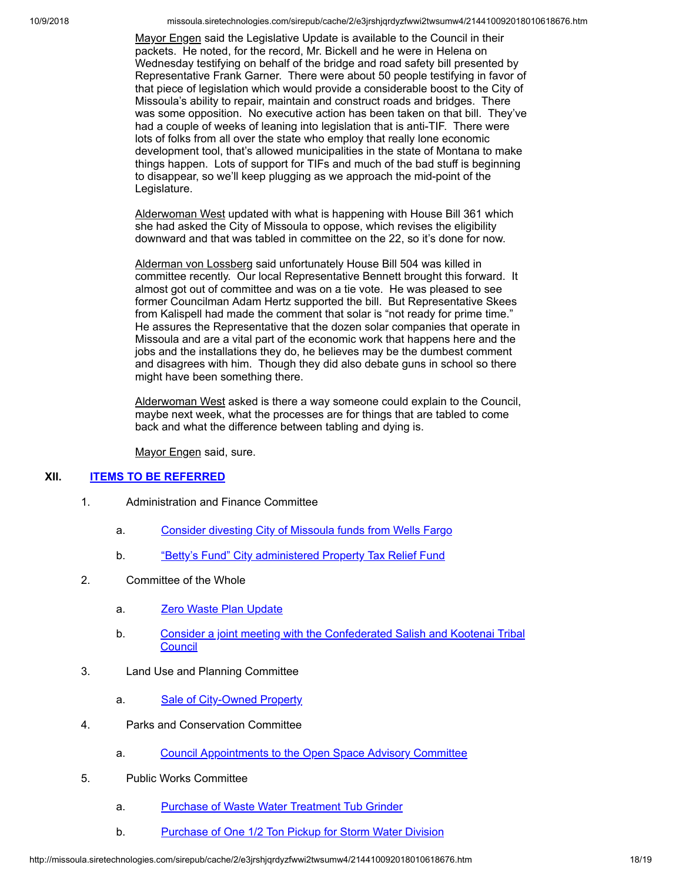10/9/2018 missoula.siretechnologies.com/sirepub/cache/2/e3jrshjqrdyzfwwi2twsumw4/214410092018010618676.htm

Mayor Engen said the Legislative Update is available to the Council in their packets. He noted, for the record, Mr. Bickell and he were in Helena on Wednesday testifying on behalf of the bridge and road safety bill presented by Representative Frank Garner. There were about 50 people testifying in favor of that piece of legislation which would provide a considerable boost to the City of Missoula's ability to repair, maintain and construct roads and bridges. There was some opposition. No executive action has been taken on that bill. They've had a couple of weeks of leaning into legislation that is anti-TIF. There were lots of folks from all over the state who employ that really lone economic development tool, that's allowed municipalities in the state of Montana to make things happen. Lots of support for TIFs and much of the bad stuff is beginning to disappear, so we'll keep plugging as we approach the mid-point of the Legislature.

Alderwoman West updated with what is happening with House Bill 361 which she had asked the City of Missoula to oppose, which revises the eligibility downward and that was tabled in committee on the 22, so it's done for now.

Alderman von Lossberg said unfortunately House Bill 504 was killed in committee recently. Our local Representative Bennett brought this forward. It almost got out of committee and was on a tie vote. He was pleased to see former Councilman Adam Hertz supported the bill. But Representative Skees from Kalispell had made the comment that solar is "not ready for prime time." He assures the Representative that the dozen solar companies that operate in Missoula and are a vital part of the economic work that happens here and the jobs and the installations they do, he believes may be the dumbest comment and disagrees with him. Though they did also debate guns in school so there might have been something there.

Alderwoman West asked is there a way someone could explain to the Council, maybe next week, what the processes are for things that are tabled to come back and what the difference between tabling and dying is.

Mayor Engen said, sure.

# **XII. ITEMS TO BE [REFERRED](http://missoula.siretechnologies.com/sirepub/agdocs.aspx?doctype=minutes&itemid=39045)**

- 1. Administration and Finance Committee
	- a. [Consider](http://missoula.siretechnologies.com/sirepub/agdocs.aspx?doctype=minutes&itemid=39220) divesting City of Missoula funds from Wells Fargo
	- b. "Betty's Fund" City [administered](http://missoula.siretechnologies.com/sirepub/agdocs.aspx?doctype=minutes&itemid=39232) Property Tax Relief Fund
- 2. Committee of the Whole
	- a. Zero Waste Plan [Update](http://missoula.siretechnologies.com/sirepub/agdocs.aspx?doctype=minutes&itemid=39229)
	- b. Consider a joint meeting with the [Confederated](http://missoula.siretechnologies.com/sirepub/agdocs.aspx?doctype=minutes&itemid=39234) Salish and Kootenai Tribal **Council**
- 3. Land Use and Planning Committee
	- a. Sale of [City-Owned](http://missoula.siretechnologies.com/sirepub/agdocs.aspx?doctype=minutes&itemid=39241) Property
- 4. Parks and Conservation Committee
	- a. Council [Appointments](http://missoula.siretechnologies.com/sirepub/agdocs.aspx?doctype=minutes&itemid=39240) to the Open Space Advisory Committee
- 5. Public Works Committee
	- a. Purchase of Waste Water [Treatment](http://missoula.siretechnologies.com/sirepub/agdocs.aspx?doctype=minutes&itemid=39069) Tub Grinder
	- b. [Purchase](http://missoula.siretechnologies.com/sirepub/agdocs.aspx?doctype=minutes&itemid=39070) of One 1/2 Ton Pickup for Storm Water Division